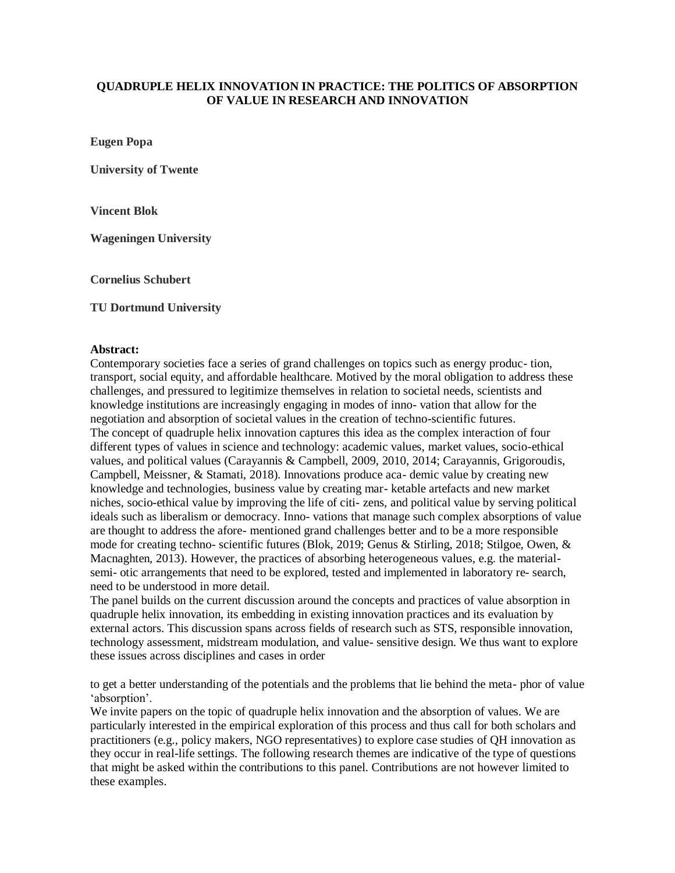## **QUADRUPLE HELIX INNOVATION IN PRACTICE: THE POLITICS OF ABSORPTION OF VALUE IN RESEARCH AND INNOVATION**

**Eugen Popa** 

**University of Twente**

**Vincent Blok** 

**Wageningen University**

**Cornelius Schubert** 

## **TU Dortmund University**

## **Abstract:**

Contemporary societies face a series of grand challenges on topics such as energy produc- tion, transport, social equity, and affordable healthcare. Motived by the moral obligation to address these challenges, and pressured to legitimize themselves in relation to societal needs, scientists and knowledge institutions are increasingly engaging in modes of inno- vation that allow for the negotiation and absorption of societal values in the creation of techno-scientific futures. The concept of quadruple helix innovation captures this idea as the complex interaction of four different types of values in science and technology: academic values, market values, socio-ethical values, and political values (Carayannis & Campbell, 2009, 2010, 2014; Carayannis, Grigoroudis, Campbell, Meissner, & Stamati, 2018). Innovations produce aca- demic value by creating new knowledge and technologies, business value by creating mar- ketable artefacts and new market niches, socio-ethical value by improving the life of citi- zens, and political value by serving political ideals such as liberalism or democracy. Inno- vations that manage such complex absorptions of value are thought to address the afore- mentioned grand challenges better and to be a more responsible mode for creating techno- scientific futures (Blok, 2019; Genus & Stirling, 2018; Stilgoe, Owen, & Macnaghten, 2013). However, the practices of absorbing heterogeneous values, e.g. the materialsemi- otic arrangements that need to be explored, tested and implemented in laboratory re- search, need to be understood in more detail.

The panel builds on the current discussion around the concepts and practices of value absorption in quadruple helix innovation, its embedding in existing innovation practices and its evaluation by external actors. This discussion spans across fields of research such as STS, responsible innovation, technology assessment, midstream modulation, and value- sensitive design. We thus want to explore these issues across disciplines and cases in order

to get a better understanding of the potentials and the problems that lie behind the meta- phor of value 'absorption'.

We invite papers on the topic of quadruple helix innovation and the absorption of values. We are particularly interested in the empirical exploration of this process and thus call for both scholars and practitioners (e.g., policy makers, NGO representatives) to explore case studies of QH innovation as they occur in real-life settings. The following research themes are indicative of the type of questions that might be asked within the contributions to this panel. Contributions are not however limited to these examples.